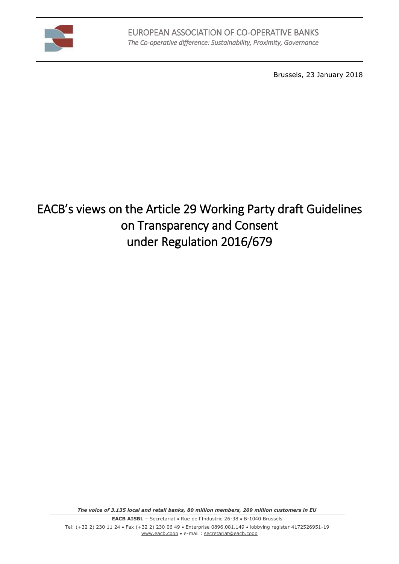

Brussels, 23 January 2018

# EACB's views on the Article 29 Working Party draft Guidelines on Transparency and Consent under Regulation 2016/679

*The voice of 3.135 local and retail banks, 80 million members, 209 million customers in EU*

**EACB AISBL** – Secretariat • Rue de l'Industrie 26-38 • B-1040 Brussels

Tel: (+32 2) 230 11 24 · Fax (+32 2) 230 06 49 · Enterprise 0896.081.149 · lobbying register 4172526951-19 [www.eacb.coop](http://www.eacb.coop/) e-mail [: secretariat@eacb.coop](mailto:secretariat@eacb.coop)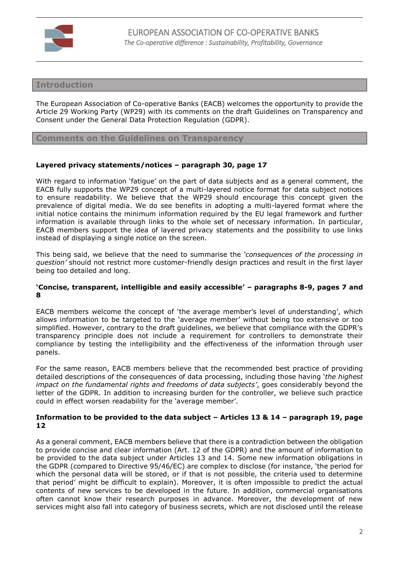

# **Introduction**

The European Association of Co-operative Banks (EACB) welcomes the opportunity to provide the Article 29 Working Party (WP29) with its comments on the draft Guidelines on Transparency and Consent under the General Data Protection Regulation (GDPR).

## **Comments on the Guidelines on Transparency**

## **Layered privacy statements/notices – paragraph 30, page 17**

With regard to information 'fatigue' on the part of data subjects and as a general comment, the EACB fully supports the WP29 concept of a multi-layered notice format for data subject notices to ensure readability. We believe that the WP29 should encourage this concept given the prevalence of digital media. We do see benefits in adopting a multi-layered format where the initial notice contains the minimum information required by the EU legal framework and further information is available through links to the whole set of necessary information. In particular, EACB members support the idea of layered privacy statements and the possibility to use links instead of displaying a single notice on the screen.

This being said, we believe that the need to summarise the *'consequences of the processing in question'* should not restrict more customer-friendly design practices and result in the first layer being too detailed and long.

#### **'Concise, transparent, intelligible and easily accessible' – paragraphs 8-9, pages 7 and 8**

EACB members welcome the concept of 'the average member's level of understanding', which allows information to be targeted to the 'average member' without being too extensive or too simplified. However, contrary to the draft guidelines, we believe that compliance with the GDPR's transparency principle does not include a requirement for controllers to demonstrate their compliance by testing the intelligibility and the effectiveness of the information through user panels.

For the same reason, EACB members believe that the recommended best practice of providing detailed descriptions of the consequences of data processing, including those having '*the highest impact on the fundamental rights and freedoms of data subjects'*, goes considerably beyond the letter of the GDPR. In addition to increasing burden for the controller, we believe such practice could in effect worsen readability for the 'average member'.

## **Information to be provided to the data subject – Articles 13 & 14 – paragraph 19, page 12**

As a general comment, EACB members believe that there is a contradiction between the obligation to provide concise and clear information (Art. 12 of the GDPR) and the amount of information to be provided to the data subject under Articles 13 and 14. Some new information obligations in the GDPR (compared to Directive 95/46/EC) are complex to disclose (for instance, 'the period for which the personal data will be stored, or if that is not possible, the criteria used to determine that period' might be difficult to explain). Moreover, it is often impossible to predict the actual contents of new services to be developed in the future. In addition, commercial organisations often cannot know their research purposes in advance. Moreover, the development of new services might also fall into category of business secrets, which are not disclosed until the release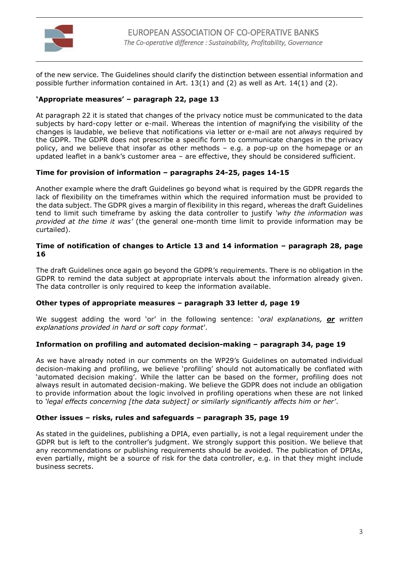

of the new service. The Guidelines should clarify the distinction between essential information and possible further information contained in Art. 13(1) and (2) as well as Art. 14(1) and (2).

# **'Appropriate measures' – paragraph 22, page 13**

At paragraph 22 it is stated that changes of the privacy notice must be communicated to the data subjects by hard-copy letter or e-mail. Whereas the intention of magnifying the visibility of the changes is laudable, we believe that notifications via letter or e-mail are not *always* required by the GDPR. The GDPR does not prescribe a specific form to communicate changes in the privacy policy, and we believe that insofar as other methods – e.g. a pop-up on the homepage or an updated leaflet in a bank's customer area – are effective, they should be considered sufficient.

## **Time for provision of information – paragraphs 24-25, pages 14-15**

Another example where the draft Guidelines go beyond what is required by the GDPR regards the lack of flexibility on the timeframes within which the required information must be provided to the data subject. The GDPR gives a margin of flexibility in this regard, whereas the draft Guidelines tend to limit such timeframe by asking the data controller to justify *'why the information was provided at the time it was'* (the general one-month time limit to provide information may be curtailed).

## **Time of notification of changes to Article 13 and 14 information – paragraph 28, page 16**

The draft Guidelines once again go beyond the GDPR's requirements. There is no obligation in the GDPR to remind the data subject at appropriate intervals about the information already given. The data controller is only required to keep the information available.

#### **Other types of appropriate measures – paragraph 33 letter d, page 19**

We suggest adding the word 'or' in the following sentence: '*oral explanations, or written explanations provided in hard or soft copy format*'.

#### **Information on profiling and automated decision-making – paragraph 34, page 19**

As we have already noted in our comments on the WP29's Guidelines on automated individual decision-making and profiling, we believe 'profiling' should not automatically be conflated with 'automated decision making'. While the latter can be based on the former, profiling does not always result in automated decision-making. We believe the GDPR does not include an obligation to provide information about the logic involved in profiling operations when these are not linked to *'legal effects concerning [the data subject] or similarly significantly affects him or her'*.

#### **Other issues – risks, rules and safeguards – paragraph 35, page 19**

As stated in the guidelines, publishing a DPIA, even partially, is not a legal requirement under the GDPR but is left to the controller's judgment. We strongly support this position. We believe that any recommendations or publishing requirements should be avoided. The publication of DPIAs, even partially, might be a source of risk for the data controller, e.g. in that they might include business secrets.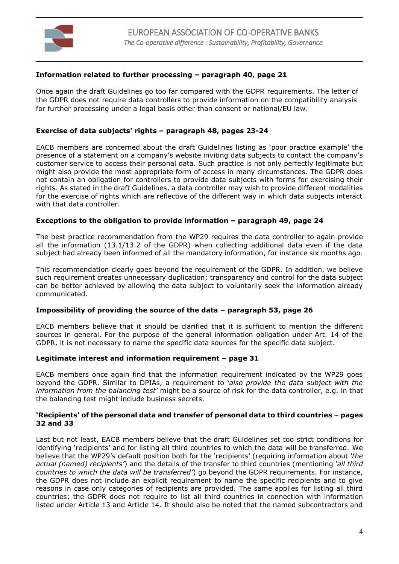

## **Information related to further processing – paragraph 40, page 21**

Once again the draft Guidelines go too far compared with the GDPR requirements. The letter of the GDPR does not require data controllers to provide information on the compatibility analysis for further processing under a legal basis other than consent or national/EU law.

## **Exercise of data subjects' rights – paragraph 48, pages 23-24**

EACB members are concerned about the draft Guidelines listing as 'poor practice example' the presence of a statement on a company's website inviting data subjects to contact the company's customer service to access their personal data. Such practice is not only perfectly legitimate but might also provide the most appropriate form of access in many circumstances. The GDPR does not contain an obligation for controllers to provide data subjects with forms for exercising their rights. As stated in the draft Guidelines, a data controller may wish to provide different modalities for the exercise of rights which are reflective of the different way in which data subjects interact with that data controller.

## **Exceptions to the obligation to provide information – paragraph 49, page 24**

The best practice recommendation from the WP29 requires the data controller to again provide all the information (13.1/13.2 of the GDPR) when collecting additional data even if the data subject had already been informed of all the mandatory information, for instance six months ago.

This recommendation clearly goes beyond the requirement of the GDPR. In addition, we believe such requirement creates unnecessary duplication; transparency and control for the data subject can be better achieved by allowing the data subject to voluntarily seek the information already communicated.

#### **Impossibility of providing the source of the data – paragraph 53, page 26**

EACB members believe that it should be clarified that it is sufficient to mention the different sources in general. For the purpose of the general information obligation under Art. 14 of the GDPR, it is not necessary to name the specific data sources for the specific data subject.

#### **Legitimate interest and information requirement – page 31**

EACB members once again find that the information requirement indicated by the WP29 goes beyond the GDPR. Similar to DPIAs, a requirement to '*also provide the data subject with the information from the balancing test'* might be a source of risk for the data controller, e.g. in that the balancing test might include business secrets.

#### **'Recipients' of the personal data and transfer of personal data to third countries – pages 32 and 33**

Last but not least, EACB members believe that the draft Guidelines set too strict conditions for identifying 'recipients' and for listing all third countries to which the data will be transferred. We believe that the WP29's default position both for the 'recipients' (requiring information about *'the actual (named) recipients'*) and the details of the transfer to third countries (mentioning *'all third countries to which the data will be transferred'*) go beyond the GDPR requirements. For instance, the GDPR does not include an explicit requirement to name the specific recipients and to give reasons in case only categories of recipients are provided. The same applies for listing all third countries; the GDPR does not require to list all third countries in connection with information listed under Article 13 and Article 14. It should also be noted that the named subcontractors and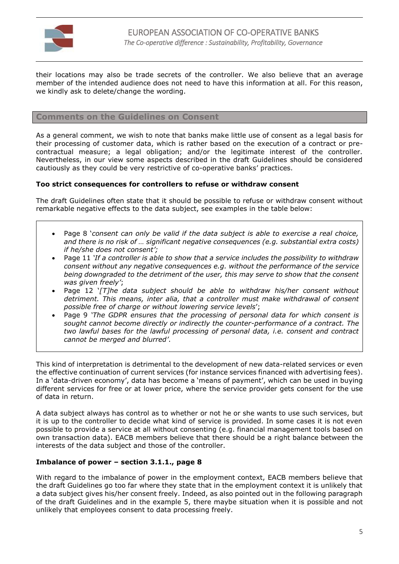

their locations may also be trade secrets of the controller. We also believe that an average member of the intended audience does not need to have this information at all. For this reason, we kindly ask to delete/change the wording.

**Comments on the Guidelines on Consent**

As a general comment, we wish to note that banks make little use of consent as a legal basis for their processing of customer data, which is rather based on the execution of a contract or precontractual measure; a legal obligation; and/or the legitimate interest of the controller. Nevertheless, in our view some aspects described in the draft Guidelines should be considered cautiously as they could be very restrictive of co-operative banks' practices.

## **Too strict consequences for controllers to refuse or withdraw consent**

The draft Guidelines often state that it should be possible to refuse or withdraw consent without remarkable negative effects to the data subject, see examples in the table below:

- Page 8 '*consent can only be valid if the data subject is able to exercise a real choice, and there is no risk of … significant negative consequences (e.g. substantial extra costs) if he/she does not consent';*
- Page 11 *'If a controller is able to show that a service includes the possibility to withdraw consent without any negative consequences e.g. without the performance of the service being downgraded to the detriment of the user, this may serve to show that the consent was given freely'*;
- Page 12 '*[T]he data subject should be able to withdraw his/her consent without detriment. This means, inter alia, that a controller must make withdrawal of consent possible free of charge or without lowering service levels*';
- Page 9 *'The GDPR ensures that the processing of personal data for which consent is sought cannot become directly or indirectly the counter-performance of a contract. The two lawful bases for the lawful processing of personal data, i.e. consent and contract cannot be merged and blurred'*.

This kind of interpretation is detrimental to the development of new data-related services or even the effective continuation of current services (for instance services financed with advertising fees). In a 'data-driven economy', data has become a 'means of payment', which can be used in buying different services for free or at lower price, where the service provider gets consent for the use of data in return.

A data subject always has control as to whether or not he or she wants to use such services, but it is up to the controller to decide what kind of service is provided. In some cases it is not even possible to provide a service at all without consenting (e.g. financial management tools based on own transaction data). EACB members believe that there should be a right balance between the interests of the data subject and those of the controller.

#### **Imbalance of power – section 3.1.1., page 8**

With regard to the imbalance of power in the employment context, EACB members believe that the draft Guidelines go too far where they state that in the employment context it is unlikely that a data subject gives his/her consent freely. Indeed, as also pointed out in the following paragraph of the draft Guidelines and in the example 5, there maybe situation when it is possible and not unlikely that employees consent to data processing freely.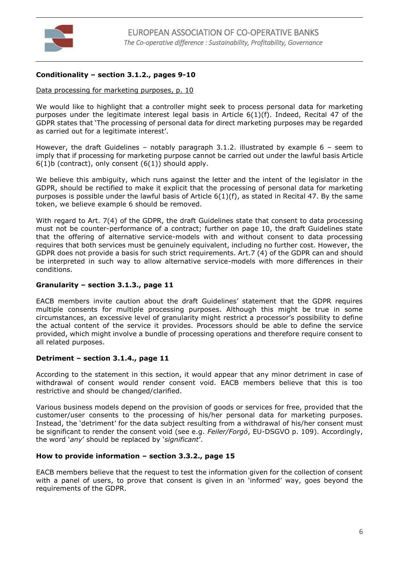

# **Conditionality – section 3.1.2., pages 9-10**

## Data processing for marketing purposes, p. 10

We would like to highlight that a controller might seek to process personal data for marketing purposes under the legitimate interest legal basis in Article 6(1)(f). Indeed, Recital 47 of the GDPR states that 'The processing of personal data for direct marketing purposes may be regarded as carried out for a legitimate interest'.

However, the draft Guidelines – notably paragraph 3.1.2. illustrated by example 6 – seem to imply that if processing for marketing purpose cannot be carried out under the lawful basis Article  $6(1)$ b (contract), only consent  $(6(1))$  should apply.

We believe this ambiguity, which runs against the letter and the intent of the legislator in the GDPR, should be rectified to make it explicit that the processing of personal data for marketing purposes is possible under the lawful basis of Article  $6(1)(f)$ , as stated in Recital 47. By the same token, we believe example 6 should be removed.

With regard to Art. 7(4) of the GDPR, the draft Guidelines state that consent to data processing must not be counter-performance of a contract; further on page 10, the draft Guidelines state that the offering of alternative service-models with and without consent to data processing requires that both services must be genuinely equivalent, including no further cost. However, the GDPR does not provide a basis for such strict requirements. Art.7 (4) of the GDPR can and should be interpreted in such way to allow alternative service-models with more differences in their conditions.

#### **Granularity – section 3.1.3., page 11**

EACB members invite caution about the draft Guidelines' statement that the GDPR requires multiple consents for multiple processing purposes. Although this might be true in some circumstances, an excessive level of granularity might restrict a processor's possibility to define the actual content of the service it provides. Processors should be able to define the service provided, which might involve a bundle of processing operations and therefore require consent to all related purposes.

# **Detriment – section 3.1.4., page 11**

According to the statement in this section, it would appear that any minor detriment in case of withdrawal of consent would render consent void. EACB members believe that this is too restrictive and should be changed/clarified.

Various business models depend on the provision of goods or services for free, provided that the customer/user consents to the processing of his/her personal data for marketing purposes. Instead, the 'detriment' for the data subject resulting from a withdrawal of his/her consent must be significant to render the consent void (see e.g. *Feiler/Forgó*, EU-DSGVO p. 109). Accordingly, the word '*any*' should be replaced by '*significant*'.

# **How to provide information – section 3.3.2., page 15**

EACB members believe that the request to test the information given for the collection of consent with a panel of users, to prove that consent is given in an 'informed' way, goes beyond the requirements of the GDPR.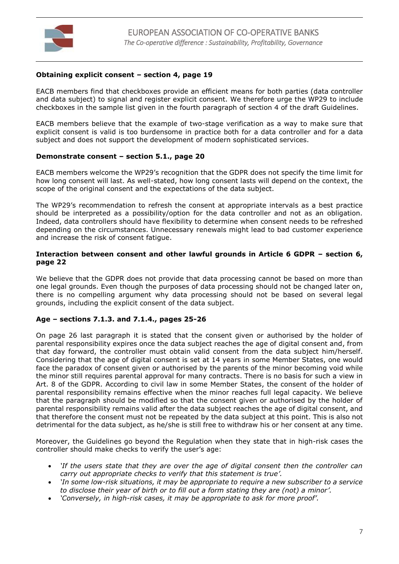

## **Obtaining explicit consent – section 4, page 19**

EACB members find that checkboxes provide an efficient means for both parties (data controller and data subject) to signal and register explicit consent. We therefore urge the WP29 to include checkboxes in the sample list given in the fourth paragraph of section 4 of the draft Guidelines.

EACB members believe that the example of two-stage verification as a way to make sure that explicit consent is valid is too burdensome in practice both for a data controller and for a data subject and does not support the development of modern sophisticated services.

#### **Demonstrate consent – section 5.1., page 20**

EACB members welcome the WP29's recognition that the GDPR does not specify the time limit for how long consent will last. As well-stated, how long consent lasts will depend on the context, the scope of the original consent and the expectations of the data subject.

The WP29's recommendation to refresh the consent at appropriate intervals as a best practice should be interpreted as a possibility/option for the data controller and not as an obligation. Indeed, data controllers should have flexibility to determine when consent needs to be refreshed depending on the circumstances. Unnecessary renewals might lead to bad customer experience and increase the risk of consent fatigue.

#### **Interaction between consent and other lawful grounds in Article 6 GDPR – section 6, page 22**

We believe that the GDPR does not provide that data processing cannot be based on more than one legal grounds. Even though the purposes of data processing should not be changed later on, there is no compelling argument why data processing should not be based on several legal grounds, including the explicit consent of the data subject.

#### **Age – sections 7.1.3. and 7.1.4., pages 25-26**

On page 26 last paragraph it is stated that the consent given or authorised by the holder of parental responsibility expires once the data subject reaches the age of digital consent and, from that day forward, the controller must obtain valid consent from the data subject him/herself. Considering that the age of digital consent is set at 14 years in some Member States, one would face the paradox of consent given or authorised by the parents of the minor becoming void while the minor still requires parental approval for many contracts. There is no basis for such a view in Art. 8 of the GDPR. According to civil law in some Member States, the consent of the holder of parental responsibility remains effective when the minor reaches full legal capacity. We believe that the paragraph should be modified so that the consent given or authorised by the holder of parental responsibility remains valid after the data subject reaches the age of digital consent, and that therefore the consent must not be repeated by the data subject at this point. This is also not detrimental for the data subject, as he/she is still free to withdraw his or her consent at any time.

Moreover, the Guidelines go beyond the Regulation when they state that in high-risk cases the controller should make checks to verify the user's age:

- *'If the users state that they are over the age of digital consent then the controller can carry out appropriate checks to verify that this statement is true'.*
- *'In some low-risk situations, it may be appropriate to require a new subscriber to a service to disclose their year of birth or to fill out a form stating they are (not) a minor'.*
- *'Conversely, in high-risk cases, it may be appropriate to ask for more proof'.*